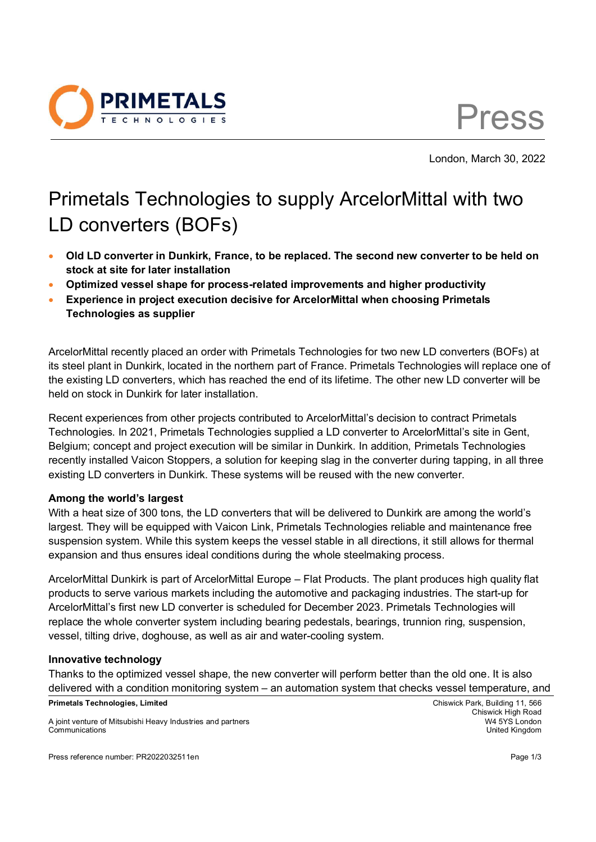

Press

London, March 30, 2022

## Primetals Technologies to supply ArcelorMittal with two LD converters (BOFs)

- **Old LD converter in Dunkirk, France, to be replaced. The second new converter to be held on stock at site for later installation**
- **Optimized vessel shape for process-related improvements and higher productivity**
- **Experience in project execution decisive for ArcelorMittal when choosing Primetals Technologies as supplier**

ArcelorMittal recently placed an order with Primetals Technologies for two new LD converters (BOFs) at its steel plant in Dunkirk, located in the northern part of France. Primetals Technologies will replace one of the existing LD converters, which has reached the end of its lifetime. The other new LD converter will be held on stock in Dunkirk for later installation.

Recent experiences from other projects contributed to ArcelorMittal's decision to contract Primetals Technologies. In 2021, Primetals Technologies supplied a LD converter to ArcelorMittal's site in Gent, Belgium; concept and project execution will be similar in Dunkirk. In addition, Primetals Technologies recently installed Vaicon Stoppers, a solution for keeping slag in the converter during tapping, in all three existing LD converters in Dunkirk. These systems will be reused with the new converter.

## **Among the world's largest**

With a heat size of 300 tons, the LD converters that will be delivered to Dunkirk are among the world's largest. They will be equipped with Vaicon Link, Primetals Technologies reliable and maintenance free suspension system. While this system keeps the vessel stable in all directions, it still allows for thermal expansion and thus ensures ideal conditions during the whole steelmaking process.

ArcelorMittal Dunkirk is part of ArcelorMittal Europe – Flat Products. The plant produces high quality flat products to serve various markets including the automotive and packaging industries. The start-up for ArcelorMittal's first new LD converter is scheduled for December 2023. Primetals Technologies will replace the whole converter system including bearing pedestals, bearings, trunnion ring, suspension, vessel, tilting drive, doghouse, as well as air and water-cooling system.

## **Innovative technology**

Thanks to the optimized vessel shape, the new converter will perform better than the old one. It is also delivered with a condition monitoring system – an automation system that checks vessel temperature, and

**Primetals Technologies, Limited** Chiswick Park, Building 11, 566

A joint venture of Mitsubishi Heavy Industries and partners W4 5YS London Communications United Kingdom

Press reference number: PR2022032511en Page 1/3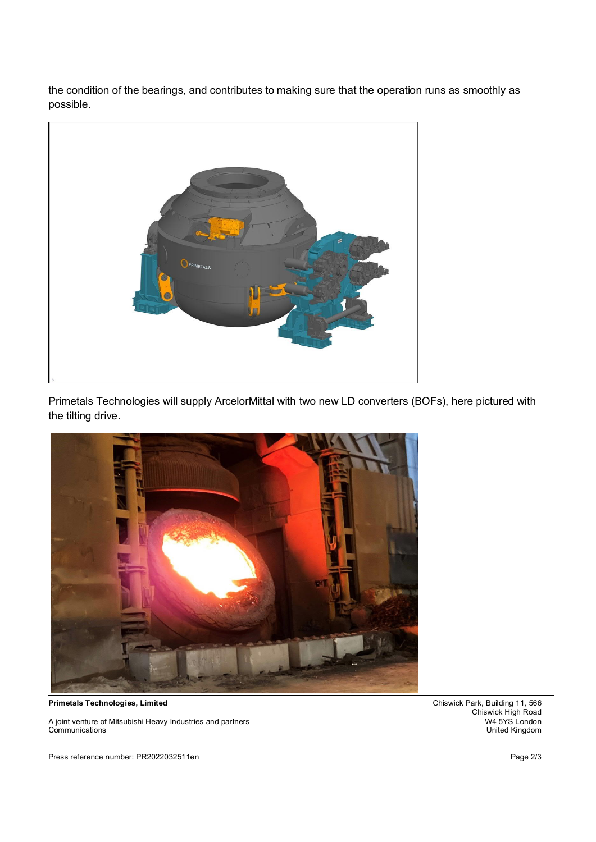the condition of the bearings, and contributes to making sure that the operation runs as smoothly as possible.



Primetals Technologies will supply ArcelorMittal with two new LD converters (BOFs), here pictured with the tilting drive.



A joint venture of Mitsubishi Heavy Industries and partners<br>Communications

Press reference number: PR2022032511en Page 2/3

**Primetals Technologies, Limited** Chiswick Park, Building 11, 566 Chiswick High Road<br>W4 5YS London United Kingdom